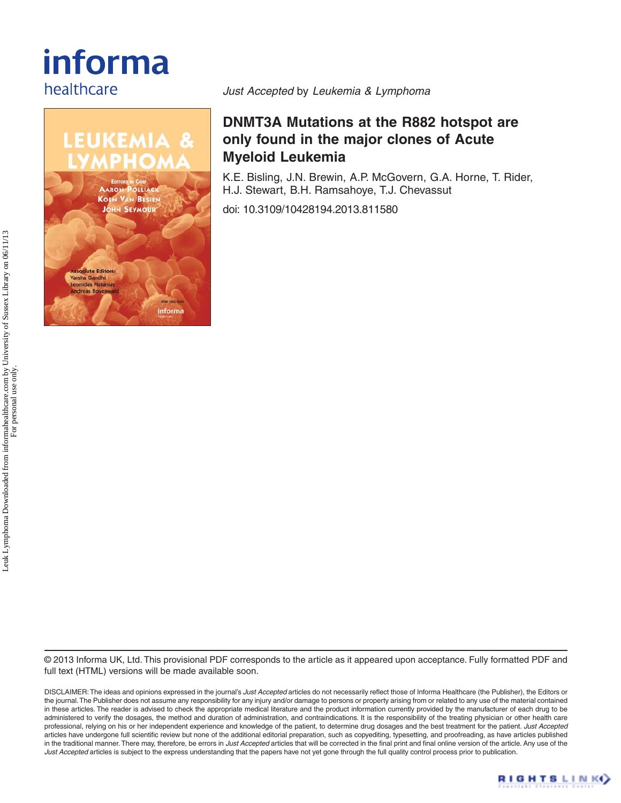# informa healthcare



*Just Accepted* by *Leukemia & Lymphoma*

## **DNMT3A Mutations at the R882 hotspot are only found in the major clones of Acute Myeloid Leukemia**

K.E. Bisling, J.N. Brewin, A.P. McGovern, G.A. Horne, T. Rider, H.J. Stewart, B.H. Ramsahoye, T.J. Chevassut

doi: 10.3109/10428194.2013.811580

© 2013 Informa UK, Ltd. This provisional PDF corresponds to the article as it appeared upon acceptance. Fully formatted PDF and full text (HTML) versions will be made available soon.

DISCLAIMER: The ideas and opinions expressed in the journal's *Just Accepted* articles do not necessarily reflect those of Informa Healthcare (the Publisher), the Editors or the journal. The Publisher does not assume any responsibility for any injury and/or damage to persons or property arising from or related to any use of the material contained in these articles. The reader is advised to check the appropriate medical literature and the product information currently provided by the manufacturer of each drug to be administered to verify the dosages, the method and duration of administration, and contraindications. It is the responsibility of the treating physician or other health care professional, relying on his or her independent experience and knowledge of the patient, to determine drug dosages and the best treatment for the patient. *Just Accepted* articles have undergone full scientific review but none of the additional editorial preparation, such as copyediting, typesetting, and proofreading, as have articles published in the traditional manner. There may, therefore, be errors in *Just Accepted* articles that will be corrected in the final print and final online version of the article. Any use of the *Just Accepted* articles is subject to the express understanding that the papers have not yet gone through the full quality control process prior to publication.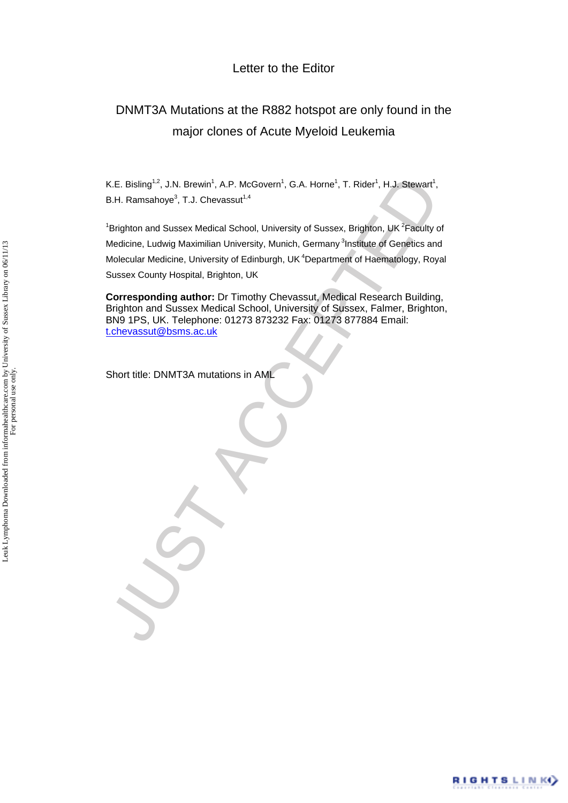### Letter to the Editor

# DNMT3A Mutations at the R882 hotspot are only found in the major clones of Acute Myeloid Leukemia

K.E. Bisling<sup>1,2</sup>, J.N. Brewin<sup>1</sup>, A.P. McGovern<sup>1</sup>, G.A. Horne<sup>1</sup>, T. Rider<sup>1</sup>, H.J. Stewart<sup>1</sup>, B.H. Ramsahoye $3$ , T.J. Chevassut $1,4$ 

K.E. Bisling<sup>12</sup>, J.N. Brewin<sup>1</sup>, A.P. McGovern<sup>1</sup>, G.A. Home<sup>1</sup>, T. Rider<sup>1</sup>, H.J. Stewart<sup>1</sup>,<br>B.H. Ramsahoye<sup>3</sup>, T.J. Chevassu<sup>17,4</sup><br>"Brighton and Sussex Medical School, University of Sussex, Brighton, UK<sup>2</sup>Faculty of<br>Me <sup>1</sup> Brighton and Sussex Medical School, University of Sussex, Brighton, UK<sup>2</sup> Faculty of Medicine, Ludwig Maximilian University, Munich, Germany <sup>3</sup>Institute of Genetics and Molecular Medicine, University of Edinburgh, UK 4Department of Haematology, Royal Sussex County Hospital, Brighton, UK

**Corresponding author:** Dr Timothy Chevassut, Medical Research Building, Brighton and Sussex Medical School, University of Sussex, Falmer, Brighton, BN9 1PS, UK. Telephone: 01273 873232 Fax: 01273 877884 Email: t.chevassut@bsms.ac.uk

Short title: DNMT3A mutations in AML

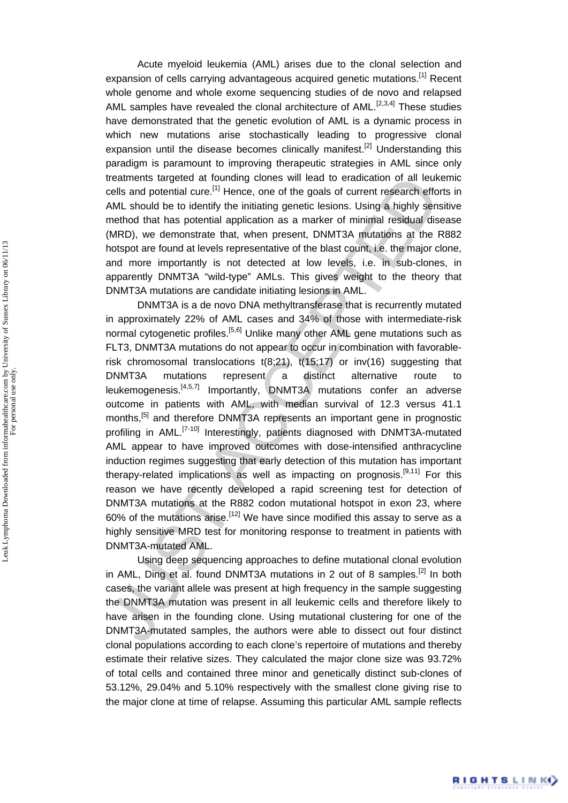Acute myeloid leukemia (AML) arises due to the clonal selection and expansion of cells carrying advantageous acquired genetic mutations.<sup>[1]</sup> Recent whole genome and whole exome sequencing studies of de novo and relapsed AML samples have revealed the clonal architecture of  $AML$ <sup>[2,3,4]</sup> These studies have demonstrated that the genetic evolution of AML is a dynamic process in which new mutations arise stochastically leading to progressive clonal expansion until the disease becomes clinically manifest.<sup>[2]</sup> Understanding this paradigm is paramount to improving therapeutic strategies in AML since only treatments targeted at founding clones will lead to eradication of all leukemic cells and potential cure.<sup>[1]</sup> Hence, one of the goals of current research efforts in AML should be to identify the initiating genetic lesions. Using a highly sensitive method that has potential application as a marker of minimal residual disease (MRD), we demonstrate that, when present, DNMT3A mutations at the R882 hotspot are found at levels representative of the blast count, i.e. the major clone, and more importantly is not detected at low levels, i.e. in sub-clones, in apparently DNMT3A "wild-type" AMLs. This gives weight to the theory that DNMT3A mutations are candidate initiating lesions in AML.

treatments targeted at founding iolness will lead to eradication of all leuke<br>neells and potential cure,<sup>10</sup> Hence, one of the goals of current research effo<br>MM. should be to identify the initiating genetic lesions. Using DNMT3A is a de novo DNA methyltransferase that is recurrently mutated in approximately 22% of AML cases and 34% of those with intermediate-risk normal cytogenetic profiles.<sup>[5,6]</sup> Unlike many other AML gene mutations such as FLT3, DNMT3A mutations do not appear to occur in combination with favorablerisk chromosomal translocations t(8;21), t(15;17) or inv(16) suggesting that DNMT3A mutations represent a distinct alternative route to leukemogenesis.[4,5,7] Importantly, DNMT3A mutations confer an adverse outcome in patients with AML, with median survival of 12.3 versus 41.1 months,<sup>[5]</sup> and therefore DNMT3A represents an important gene in prognostic profiling in AML.[7-10] Interestingly, patients diagnosed with DNMT3A-mutated AML appear to have improved outcomes with dose-intensified anthracycline induction regimes suggesting that early detection of this mutation has important therapy-related implications as well as impacting on prognosis.<sup>[9,11]</sup> For this reason we have recently developed a rapid screening test for detection of DNMT3A mutations at the R882 codon mutational hotspot in exon 23, where 60% of the mutations arise.<sup>[12]</sup> We have since modified this assay to serve as a highly sensitive MRD test for monitoring response to treatment in patients with DNMT3A-mutated AML.

Using deep sequencing approaches to define mutational clonal evolution in AML, Ding et al. found DNMT3A mutations in 2 out of 8 samples.<sup>[2]</sup> In both cases, the variant allele was present at high frequency in the sample suggesting the DNMT3A mutation was present in all leukemic cells and therefore likely to have arisen in the founding clone. Using mutational clustering for one of the DNMT3A-mutated samples, the authors were able to dissect out four distinct clonal populations according to each clone's repertoire of mutations and thereby estimate their relative sizes. They calculated the major clone size was 93.72% of total cells and contained three minor and genetically distinct sub-clones of 53.12%, 29.04% and 5.10% respectively with the smallest clone giving rise to the major clone at time of relapse. Assuming this particular AML sample reflects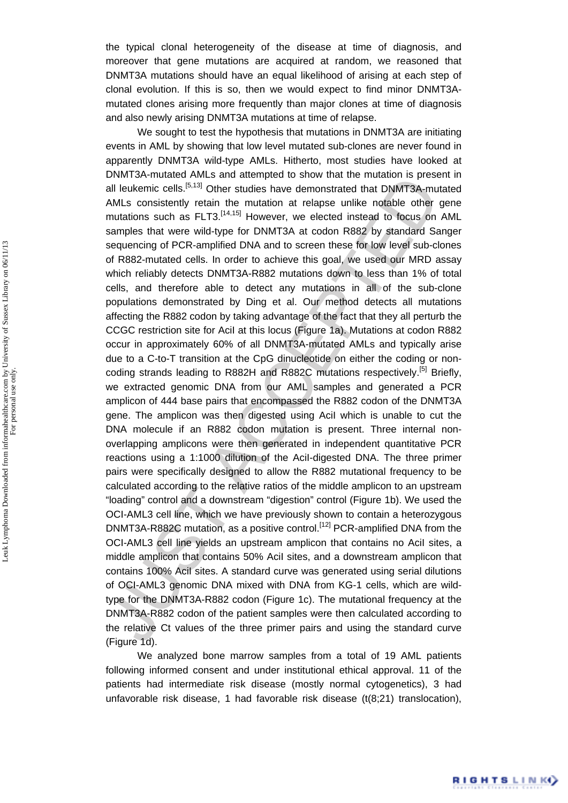the typical clonal heterogeneity of the disease at time of diagnosis, and moreover that gene mutations are acquired at random, we reasoned that DNMT3A mutations should have an equal likelihood of arising at each step of clonal evolution. If this is so, then we would expect to find minor DNMT3Amutated clones arising more frequently than major clones at time of diagnosis and also newly arising DNMT3A mutations at time of relapse.

Distinuated Amenda The method of the Method of the Method of the method of the method of the method of the method of the method of the method of the method of the method of the samples that were wid-typs. Hence the energy We sought to test the hypothesis that mutations in DNMT3A are initiating events in AML by showing that low level mutated sub-clones are never found in apparently DNMT3A wild-type AMLs. Hitherto, most studies have looked at DNMT3A-mutated AMLs and attempted to show that the mutation is present in all leukemic cells.<sup>[5,13]</sup> Other studies have demonstrated that DNMT3A-mutated AMLs consistently retain the mutation at relapse unlike notable other gene mutations such as FLT3.<sup>[14,15]</sup> However, we elected instead to focus on AML samples that were wild-type for DNMT3A at codon R882 by standard Sanger sequencing of PCR-amplified DNA and to screen these for low level sub-clones of R882-mutated cells. In order to achieve this goal, we used our MRD assay which reliably detects DNMT3A-R882 mutations down to less than 1% of total cells, and therefore able to detect any mutations in all of the sub-clone populations demonstrated by Ding et al. Our method detects all mutations affecting the R882 codon by taking advantage of the fact that they all perturb the CCGC restriction site for AciI at this locus (Figure 1a). Mutations at codon R882 occur in approximately 60% of all DNMT3A-mutated AMLs and typically arise due to a C-to-T transition at the CpG dinucleotide on either the coding or noncoding strands leading to R882H and R882C mutations respectively.<sup>[5]</sup> Briefly, we extracted genomic DNA from our AML samples and generated a PCR amplicon of 444 base pairs that encompassed the R882 codon of the DNMT3A gene. The amplicon was then digested using AciI which is unable to cut the DNA molecule if an R882 codon mutation is present. Three internal nonoverlapping amplicons were then generated in independent quantitative PCR reactions using a 1:1000 dilution of the AciI-digested DNA. The three primer pairs were specifically designed to allow the R882 mutational frequency to be calculated according to the relative ratios of the middle amplicon to an upstream "loading" control and a downstream "digestion" control (Figure 1b). We used the OCI-AML3 cell line, which we have previously shown to contain a heterozygous DNMT3A-R882C mutation, as a positive control.<sup>[12]</sup> PCR-amplified DNA from the OCI-AML3 cell line yields an upstream amplicon that contains no AciI sites, a middle amplicon that contains 50% AciI sites, and a downstream amplicon that contains 100% AciI sites. A standard curve was generated using serial dilutions of OCI-AML3 genomic DNA mixed with DNA from KG-1 cells, which are wildtype for the DNMT3A-R882 codon (Figure 1c). The mutational frequency at the DNMT3A-R882 codon of the patient samples were then calculated according to the relative Ct values of the three primer pairs and using the standard curve (Figure 1d).

We analyzed bone marrow samples from a total of 19 AML patients following informed consent and under institutional ethical approval. 11 of the patients had intermediate risk disease (mostly normal cytogenetics), 3 had unfavorable risk disease, 1 had favorable risk disease (t(8;21) translocation),

RIGHTS LINKO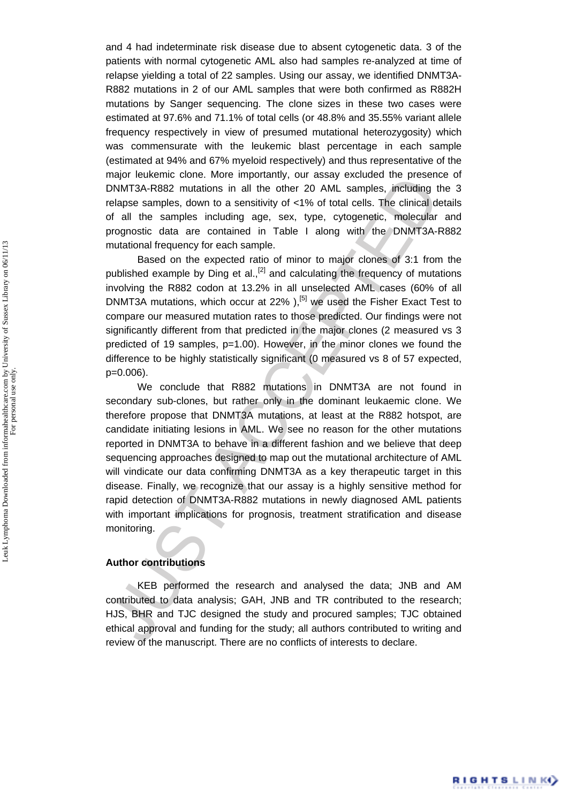and 4 had indeterminate risk disease due to absent cytogenetic data. 3 of the patients with normal cytogenetic AML also had samples re-analyzed at time of relapse yielding a total of 22 samples. Using our assay, we identified DNMT3A-R882 mutations in 2 of our AML samples that were both confirmed as R882H mutations by Sanger sequencing. The clone sizes in these two cases were estimated at 97.6% and 71.1% of total cells (or 48.8% and 35.55% variant allele frequency respectively in view of presumed mutational heterozygosity) which was commensurate with the leukemic blast percentage in each sample (estimated at 94% and 67% myeloid respectively) and thus representative of the major leukemic clone. More importantly, our assay excluded the presence of DNMT3A-R882 mutations in all the other 20 AML samples, including the 3 relapse samples, down to a sensitivity of <1% of total cells. The clinical details of all the samples including age, sex, type, cytogenetic, molecular and prognostic data are contained in Table I along with the DNMT3A-R882 mutational frequency for each sample.

Based on the expected ratio of minor to major clones of 3:1 from the published example by Ding et al.,<sup>[2]</sup> and calculating the frequency of mutations involving the R882 codon at 13.2% in all unselected AML cases (60% of all DNMT3A mutations, which occur at  $22\%$  ),<sup>[5]</sup> we used the Fisher Exact Test to compare our measured mutation rates to those predicted. Our findings were not significantly different from that predicted in the major clones (2 measured vs 3 predicted of 19 samples, p=1.00). However, in the minor clones we found the difference to be highly statistically significant (0 measured vs 8 of 57 expected, p=0.006).

may elevate to total the sample of the sample and the sample in the sample stations in all the other 20 AML samples, including the<br>lapse samples, cown to a sensitivity of <1% of total cells. The clinical dof<br>prognostic dat We conclude that R882 mutations in DNMT3A are not found in secondary sub-clones, but rather only in the dominant leukaemic clone. We therefore propose that DNMT3A mutations, at least at the R882 hotspot, are candidate initiating lesions in AML. We see no reason for the other mutations reported in DNMT3A to behave in a different fashion and we believe that deep sequencing approaches designed to map out the mutational architecture of AML will vindicate our data confirming DNMT3A as a key therapeutic target in this disease. Finally, we recognize that our assay is a highly sensitive method for rapid detection of DNMT3A-R882 mutations in newly diagnosed AML patients with important implications for prognosis, treatment stratification and disease monitoring.

#### **Author contributions**

KEB performed the research and analysed the data; JNB and AM contributed to data analysis; GAH, JNB and TR contributed to the research; HJS, BHR and TJC designed the study and procured samples; TJC obtained ethical approval and funding for the study; all authors contributed to writing and review of the manuscript. There are no conflicts of interests to declare.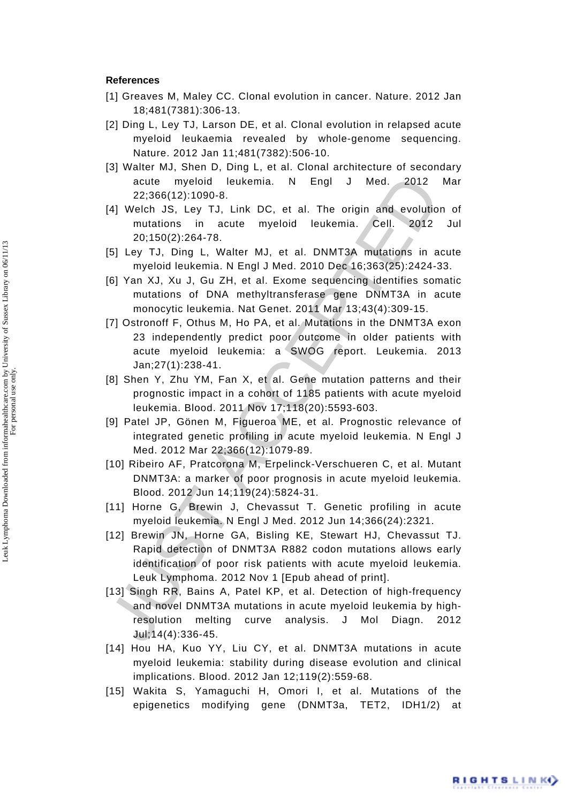#### **References**

- [1] Greaves M, Maley CC. Clonal evolution in cancer. Nature. 2012 Jan 18;481(7381):306-13.
- [2] Ding L, Ley TJ, Larson DE, et al. Clonal evolution in relapsed acute myeloid leukaemia revealed by whole-genome sequencing. Nature. 2012 Jan 11;481(7382):506-10.
- [3] Walter MJ, Shen D, Ding L, et al. Clonal architecture of secondary acute myeloid leukemia. N Engl J Med. 2012 Mar 22;366(12):1090-8.
- [4] Welch JS, Ley TJ, Link DC, et al. The origin and evolution of mutations in acute myeloid leukemia. Cell. 2012 Jul 20;150(2):264-78.
- [5] Ley TJ, Ding L, Walter MJ, et al. DNMT3A mutations in acute myeloid leukemia. N Engl J Med. 2010 Dec 16;363(25):2424-33.
- [6] Yan XJ, Xu J, Gu ZH, et al. Exome sequencing identifies somatic mutations of DNA methyltransferase gene DNMT3A in acute monocytic leukemia. Nat Genet. 2011 Mar 13;43(4):309-15.
- [7] Ostronoff F, Othus M, Ho PA, et al. Mutations in the DNMT3A exon 23 independently predict poor outcome in older patients with acute myeloid leukemia: a SWOG report. Leukemia. 2013 Jan;27(1):238-41.
- [8] Shen Y, Zhu YM, Fan X, et al. Gene mutation patterns and their prognostic impact in a cohort of 1185 patients with acute myeloid leukemia. Blood. 2011 Nov 17;118(20):5593-603.
- [9] Patel JP, Gönen M, Figueroa ME, et al. Prognostic relevance of integrated genetic profiling in acute myeloid leukemia. N Engl J Med. 2012 Mar 22;366(12):1079-89.
- [10] Ribeiro AF, Pratcorona M, Erpelinck-Verschueren C, et al. Mutant DNMT3A: a marker of poor prognosis in acute myeloid leukemia. Blood. 2012 Jun 14;119(24):5824-31.
- [11] Horne G. Brewin J. Chevassut T. Genetic profiling in acute myeloid leukemia. N Engl J Med. 2012 Jun 14;366(24):2321.
- acute myeloid leukemia. N Engl J Med. 2012<br>
2012<br>
2012 23:366(12):1090-8.<br>
40 Welch JS, Ley TJ, Link DC, et al. The origin and evolution<br>
mutations in acute myeloid leukemia. Cell. 2012<br>
2012<br>
2012 2013/16/2):264-78.<br>
[6] [12] Brewin JN, Horne GA, Bisling KE, Stewart HJ, Chevassut TJ. Rapid detection of DNMT3A R882 codon mutations allows early identification of poor risk patients with acute myeloid leukemia. Leuk Lymphoma. 2012 Nov 1 [Epub ahead of print].
- [13] Singh RR, Bains A, Patel KP, et al. Detection of high-frequency and novel DNMT3A mutations in acute myeloid leukemia by highresolution melting curve analysis. J Mol Diagn. 2012 Jul;14(4):336-45.
- [14] Hou HA, Kuo YY, Liu CY, et al. DNMT3A mutations in acute myeloid leukemia: stability during disease evolution and clinical implications. Blood. 2012 Jan 12;119(2):559-68.
- [15] Wakita S, Yamaguchi H, Omori I, et al. Mutations of the epigenetics modifying gene (DNMT3a, TET2, IDH1/2)

RIGHTS LINKO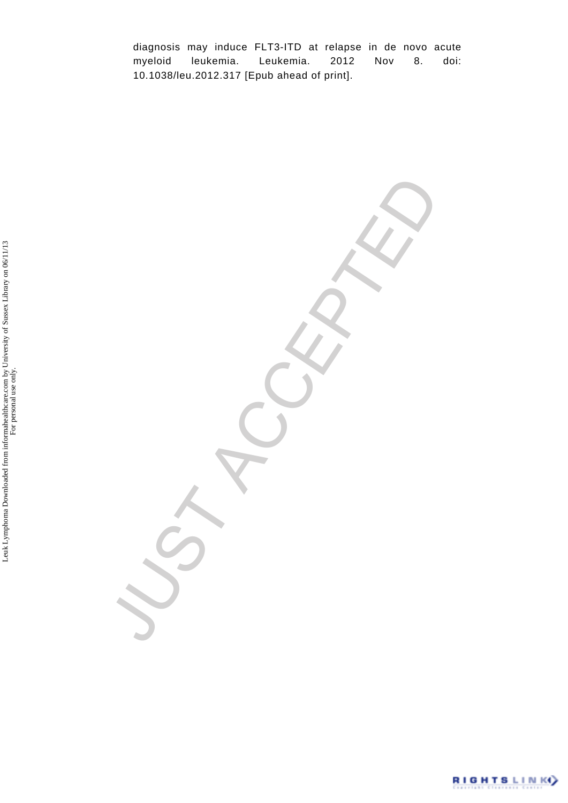diagnosis may induce FLT3-ITD at relapse in de novo acute myeloid leukemia. Leukemia. 2012 Nov 8. doi: 10.1038/leu.2012.317 [Epub ahead of print].

VST ACCEPTED

RIGHTSLINKY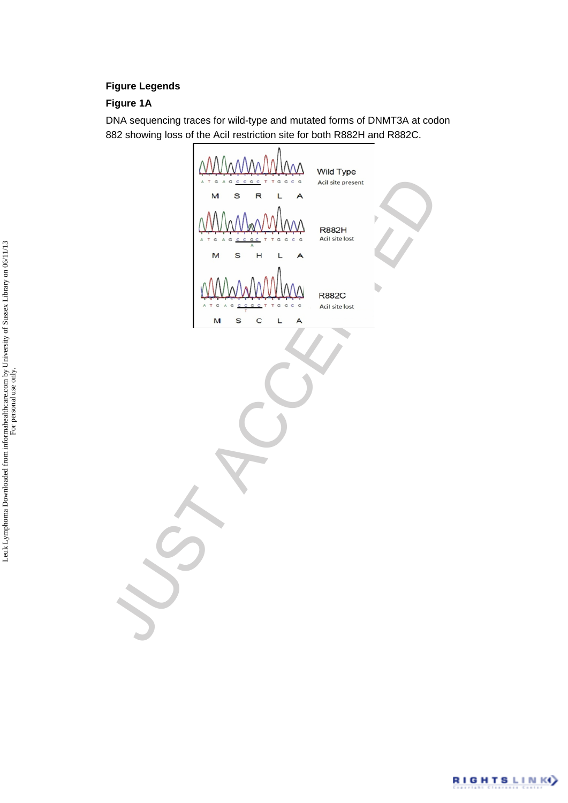#### **Figure Legends**

#### **Figure 1A**

DNA sequencing traces for wild-type and mutated forms of DNMT3A at codon 882 showing loss of the AciI restriction site for both R882H and R882C.

JUST ACCEPTED

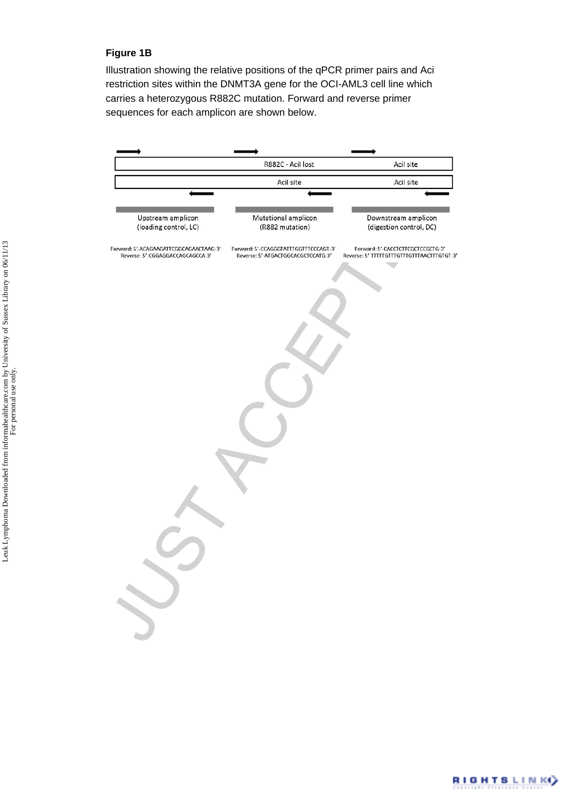#### **Figure 1B**

Illustration showing the relative positions of the qPCR primer pairs and Aci restriction sites within the DNMT3A gene for the OCI-AML3 cell line which carries a heterozygous R882C mutation. Forward and reverse primer sequences for each amplicon are shown below.



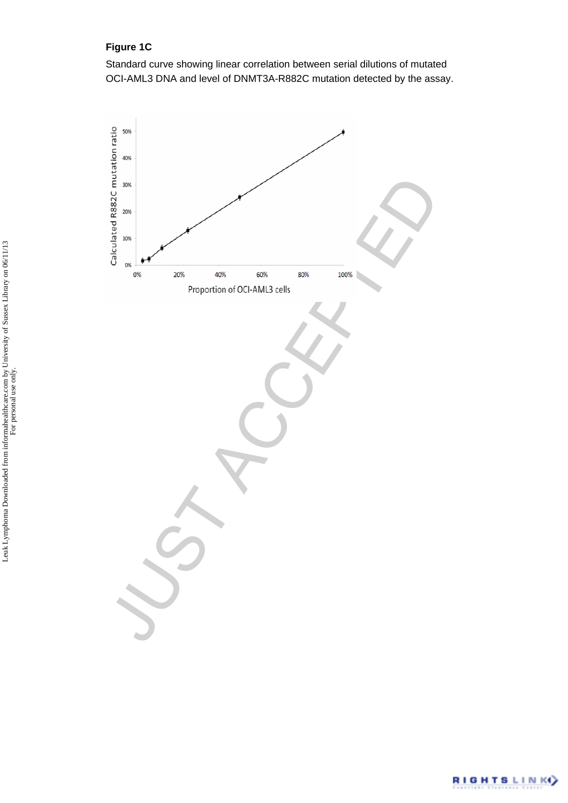### **Figure 1C**

Standard curve showing linear correlation between serial dilutions of mutated OCI-AML3 DNA and level of DNMT3A-R882C mutation detected by the assay.



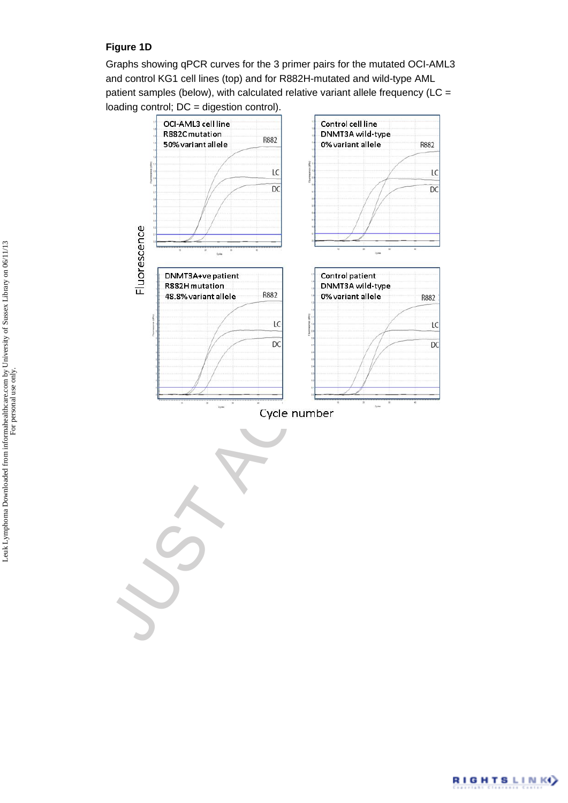#### **Figure 1D**

Graphs showing qPCR curves for the 3 primer pairs for the mutated OCI-AML3 and control KG1 cell lines (top) and for R882H-mutated and wild-type AML patient samples (below), with calculated relative variant allele frequency (LC = loading control; DC = digestion control).



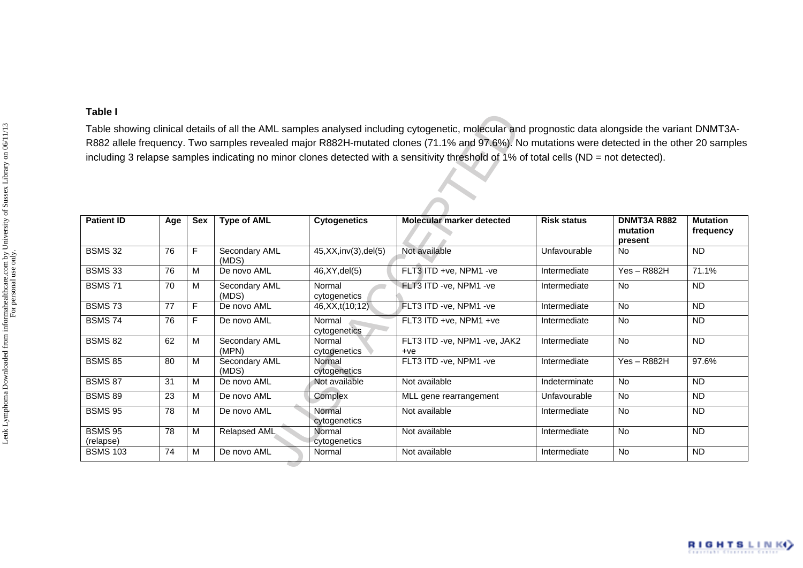| Table showing clinical details of all the AML samples analysed including cytogenetic, molecular and prognostic data alongside the variant DNMT3A-<br>R882 allele frequency. Two samples revealed major R882H-mutated clones (71.1% and 97.6%). No mutations were detected in the other 20 samples<br>including 3 relapse samples indicating no minor clones detected with a sensitivity threshold of 1% of total cells (ND = not detected). |                 |     |                        |                        |                                       |                    |                                    |                              |  |  |  |
|---------------------------------------------------------------------------------------------------------------------------------------------------------------------------------------------------------------------------------------------------------------------------------------------------------------------------------------------------------------------------------------------------------------------------------------------|-----------------|-----|------------------------|------------------------|---------------------------------------|--------------------|------------------------------------|------------------------------|--|--|--|
| <b>Patient ID</b>                                                                                                                                                                                                                                                                                                                                                                                                                           | Age             | Sex | <b>Type of AML</b>     | <b>Cytogenetics</b>    | Molecular marker detected             | <b>Risk status</b> | DNMT3A R882<br>mutation<br>present | <b>Mutation</b><br>frequency |  |  |  |
| <b>BSMS 32</b>                                                                                                                                                                                                                                                                                                                                                                                                                              | 76              | F.  | Secondary AML<br>(MDS) | 45, XX, inv(3), del(5) | Not available                         | Unfavourable       | <b>No</b>                          | $\overline{ND}$              |  |  |  |
| <b>BSMS 33</b>                                                                                                                                                                                                                                                                                                                                                                                                                              | 76              | M   | De novo AML            | 46, XY, del(5)         | FLT3 ITD +ve, NPM1 -ve                | Intermediate       | $Yes - R882H$                      | 71.1%                        |  |  |  |
| <b>BSMS 71</b>                                                                                                                                                                                                                                                                                                                                                                                                                              | 70              | М   | Secondary AML<br>(MDS) | Normal<br>cytogenetics | FLT3 ITD -ve, NPM1 -ve                | Intermediate       | No                                 | <b>ND</b>                    |  |  |  |
| <b>BSMS73</b>                                                                                                                                                                                                                                                                                                                                                                                                                               | 77              | F.  | De novo AML            | 46, XX, t(10; 12)      | FLT3 ITD -ve, NPM1 -ve                | Intermediate       | No                                 | <b>ND</b>                    |  |  |  |
| <b>BSMS 74</b>                                                                                                                                                                                                                                                                                                                                                                                                                              | 76              | F.  | De novo AML            | Normal<br>cytogenetics | FLT3 ITD +ve, NPM1 +ve                | Intermediate       | <b>No</b>                          | ND.                          |  |  |  |
| <b>BSMS 82</b>                                                                                                                                                                                                                                                                                                                                                                                                                              | 62              | М   | Secondary AML<br>(MPN) | Normal<br>cytogenetics | FLT3 ITD -ve, NPM1 -ve, JAK2<br>$+ve$ | Intermediate       | No                                 | <b>ND</b>                    |  |  |  |
| <b>BSMS 85</b>                                                                                                                                                                                                                                                                                                                                                                                                                              | 80              | м   | Secondary AML<br>(MDS) | Normal<br>cytogenetics | FLT3 ITD -ve, NPM1 -ve                | Intermediate       | $Yes - R882H$                      | 97.6%                        |  |  |  |
| <b>BSMS 87</b>                                                                                                                                                                                                                                                                                                                                                                                                                              | $\overline{31}$ | M   | De novo AML            | Not available          | Not available                         | Indeterminate      | No                                 | <b>ND</b>                    |  |  |  |
| <b>BSMS 89</b>                                                                                                                                                                                                                                                                                                                                                                                                                              | 23              | M   | De novo AML            | Complex                | MLL gene rearrangement                | Unfavourable       | <b>No</b>                          | <b>ND</b>                    |  |  |  |
| <b>BSMS 95</b>                                                                                                                                                                                                                                                                                                                                                                                                                              | 78              | м   | De novo AML            | Normal<br>cytogenetics | Not available                         | Intermediate       | <b>No</b>                          | <b>ND</b>                    |  |  |  |
| <b>BSMS 95</b><br>(relapse)                                                                                                                                                                                                                                                                                                                                                                                                                 | 78              | M   | Relapsed AML           | Normal<br>cytogenetics | Not available                         | Intermediate       | No                                 | <b>ND</b>                    |  |  |  |
| <b>BSMS 103</b>                                                                                                                                                                                                                                                                                                                                                                                                                             | 74              | м   | De novo AML            | Normal                 | Not available                         | Intermediate       | No                                 | <b>ND</b>                    |  |  |  |